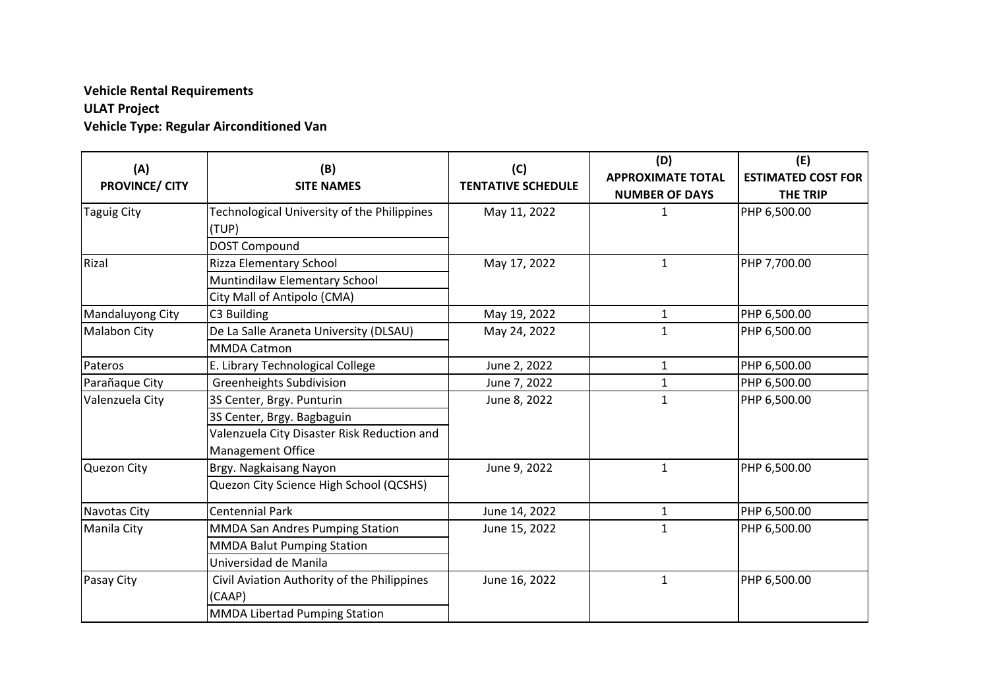## **Vehicle Rental Requirements ULAT Project Vehicle Type: Regular Airconditioned Van**

| (A)<br><b>PROVINCE/ CITY</b> | (B)<br><b>SITE NAMES</b>                             | (C)<br><b>TENTATIVE SCHEDULE</b> | (D)<br><b>APPROXIMATE TOTAL</b><br><b>NUMBER OF DAYS</b> | (E)<br><b>ESTIMATED COST FOR</b><br><b>THE TRIP</b> |
|------------------------------|------------------------------------------------------|----------------------------------|----------------------------------------------------------|-----------------------------------------------------|
| Taguig City                  | Technological University of the Philippines<br>(TUP) | May 11, 2022                     | $\mathbf{1}$                                             | PHP 6,500.00                                        |
|                              | DOST Compound                                        |                                  |                                                          |                                                     |
| Rizal                        | <b>Rizza Elementary School</b>                       | May 17, 2022                     | $\mathbf{1}$                                             | PHP 7,700.00                                        |
|                              | Muntindilaw Elementary School                        |                                  |                                                          |                                                     |
|                              | City Mall of Antipolo (CMA)                          |                                  |                                                          |                                                     |
| Mandaluyong City             | C3 Building                                          | May 19, 2022                     | 1                                                        | PHP 6,500.00                                        |
| <b>Malabon City</b>          | De La Salle Araneta University (DLSAU)               | May 24, 2022                     | $\mathbf{1}$                                             | PHP 6,500.00                                        |
|                              | <b>MMDA Catmon</b>                                   |                                  |                                                          |                                                     |
| Pateros                      | E. Library Technological College                     | June 2, 2022                     | $\mathbf{1}$                                             | PHP 6,500.00                                        |
| Parañaque City               | <b>Greenheights Subdivision</b>                      | June 7, 2022                     | $\mathbf{1}$                                             | PHP 6,500.00                                        |
| Valenzuela City              | 3S Center, Brgy. Punturin                            | June 8, 2022                     | $\mathbf{1}$                                             | PHP 6,500.00                                        |
|                              | 3S Center, Brgy. Bagbaguin                           |                                  |                                                          |                                                     |
|                              | Valenzuela City Disaster Risk Reduction and          |                                  |                                                          |                                                     |
|                              | <b>Management Office</b>                             |                                  |                                                          |                                                     |
| Quezon City                  | Brgy. Nagkaisang Nayon                               | June 9, 2022                     | $\mathbf{1}$                                             | PHP 6,500.00                                        |
|                              | Quezon City Science High School (QCSHS)              |                                  |                                                          |                                                     |
| Navotas City                 | <b>Centennial Park</b>                               | June 14, 2022                    | $\mathbf{1}$                                             | PHP 6,500.00                                        |
| Manila City                  | <b>MMDA San Andres Pumping Station</b>               | June 15, 2022                    | $\mathbf{1}$                                             | PHP 6,500.00                                        |
|                              | <b>MMDA Balut Pumping Station</b>                    |                                  |                                                          |                                                     |
|                              | Universidad de Manila                                |                                  |                                                          |                                                     |
| Pasay City                   | Civil Aviation Authority of the Philippines          | June 16, 2022                    | $\mathbf{1}$                                             | PHP 6,500.00                                        |
|                              | (CAAP)                                               |                                  |                                                          |                                                     |
|                              | MMDA Libertad Pumping Station                        |                                  |                                                          |                                                     |